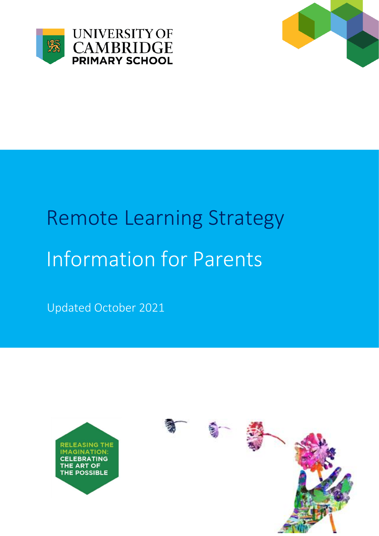



# Remote Learning Strategy Information for Parents

Updated October 2021

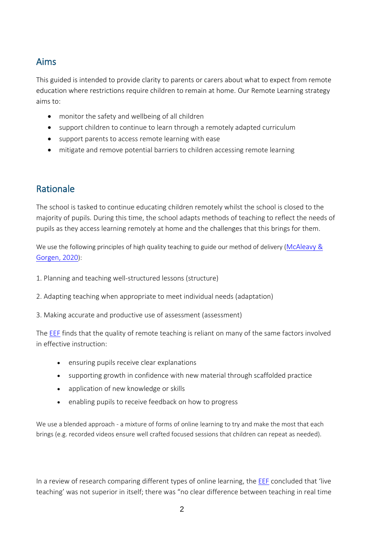#### Aims

This guided is intended to provide clarity to parents or carers about what to expect from remote education where restrictions require children to remain at home. Our Remote Learning strategy aims to:

- monitor the safety and wellbeing of all children
- support children to continue to learn through a remotely adapted curriculum
- support parents to access remote learning with ease
- mitigate and remove potential barriers to children accessing remote learning

# Rationale

The school is tasked to continue educating children remotely whilst the school is closed to the majority of pupils. During this time, the school adapts methods of teaching to reflect the needs of pupils as they access learning remotely at home and the challenges that this brings for them.

We use the following principles of high quality teaching to guide our method of delivery (McAleavy & [Gorgen, 2020](https://edtechhub.org/wp-content/uploads/2020/05/remote-teaching.pdf)):

- 1. Planning and teaching well-structured lessons (structure)
- 2. Adapting teaching when appropriate to meet individual needs (adaptation)
- 3. Making accurate and productive use of assessment (assessment)

The [EEF](https://educationendowmentfoundation.org.uk/public/files/Publications/Covid-19_Resources/Remote_learning_evidence_review/Remote_Learning_Rapid_Evidence_Assessment.pdf) finds that the quality of remote teaching is reliant on many of the same factors involved in effective instruction:

- ensuring pupils receive clear explanations
- supporting growth in confidence with new material through scaffolded practice
- application of new knowledge or skills
- enabling pupils to receive feedback on how to progress

We use a blended approach - a mixture of forms of online learning to try and make the most that each brings (e.g. recorded videos ensure well crafted focused sessions that children can repeat as needed).

In a review of research comparing different types of online learning, the [EEF](https://educationendowmentfoundation.org.uk/public/files/Publications/Covid-19_Resources/Remote_learning_evidence_review/Remote_Learning_Rapid_Evidence_Assessment.pdf) concluded that 'live teaching' was not superior in itself; there was "no clear difference between teaching in real time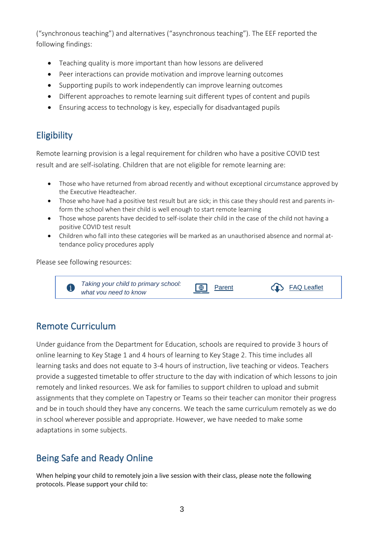("synchronous teaching") and alternatives ("asynchronous teaching"). The EEF reported the following findings:

- Teaching quality is more important than how lessons are delivered
- Peer interactions can provide motivation and improve learning outcomes
- Supporting pupils to work independently can improve learning outcomes
- Different approaches to remote learning suit different types of content and pupils
- Ensuring access to technology is key, especially for disadvantaged pupils

# **Eligibility**

Remote learning provision is a legal requirement for children who have a positive COVID test result and are self-isolating. Children that are not eligible for remote learning are:

- Those who have returned from abroad recently and without exceptional circumstance approved by the Executive Headteacher.
- Those who have had a positive test result but are sick; in this case they should rest and parents inform the school when their child is well enough to start remote learning
- Those whose parents have decided to self-isolate their child in the case of the child not having a positive COVID test result
- Children who fall into these categories will be marked as an unauthorised absence and normal attendance policy procedures apply

Please see following resources:



## Remote Curriculum

Under guidance from the Department for Education, schools are required to provide 3 hours of online learning to Key Stage 1 and 4 hours of learning to Key Stage 2. This time includes all learning tasks and does not equate to 3-4 hours of instruction, live teaching or videos. Teachers provide a suggested timetable to offer structure to the day with indication of which lessons to join remotely and linked resources. We ask for families to support children to upload and submit assignments that they complete on Tapestry or Teams so their teacher can monitor their progress and be in touch should they have any concerns. We teach the same curriculum remotely as we do in school wherever possible and appropriate. However, we have needed to make some adaptations in some subjects.

## Being Safe and Ready Online

When helping your child to remotely join a live session with their class, please note the following protocols. Please support your child to: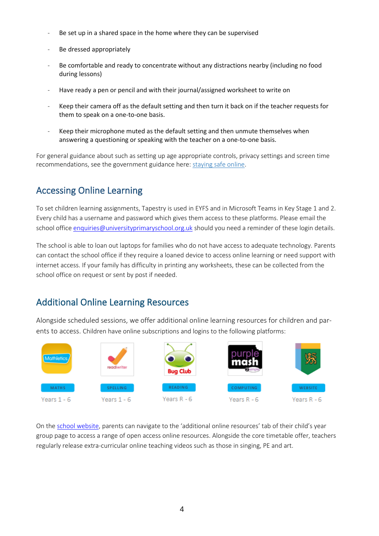- Be set up in a shared space in the home where they can be supervised
- Be dressed appropriately
- Be comfortable and ready to concentrate without any distractions nearby (including no food during lessons)
- Have ready a pen or pencil and with their journal/assigned worksheet to write on
- Keep their camera off as the default setting and then turn it back on if the teacher requests for them to speak on a one-to-one basis.
- Keep their microphone muted as the default setting and then unmute themselves when answering a questioning or speaking with the teacher on a one-to-one basis.

For general guidance about such as setting up age appropriate controls, privacy settings and screen time recommendations, see the government guidance here[: staying safe online.](https://www.gov.uk/guidance/covid-19-staying-safe-online)

## Accessing Online Learning

To set children learning assignments, Tapestry is used in EYFS and in Microsoft Teams in Key Stage 1 and 2. Every child has a username and password which gives them access to these platforms. Please email the school office [enquiries@universityprimaryschool.org.uk](mailto:enquiries@universityprimaryschool.org.uk) should you need a reminder of these login details.

The school is able to loan out laptops for families who do not have access to adequate technology. Parents can contact the school office if they require a loaned device to access online learning or need support with internet access. If your family has difficulty in printing any worksheets, these can be collected from the school office on request or sent by post if needed.

## Additional Online Learning Resources

Alongside scheduled sessions, we offer additional online learning resources for children and parents to access. Children have online subscriptions and logins to the following platforms:



On th[e school website](https://universityprimaryschool.org.uk/learning-and-curriculum/), parents can navigate to the 'additional online resources' tab of their child's year group page to access a range of open access online resources. Alongside the core timetable offer, teachers regularly release extra-curricular online teaching videos such as those in singing, PE and art.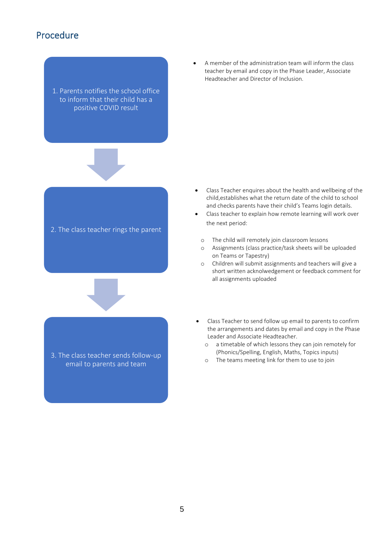#### Procedure

1. Parents notifies the school office to inform that their child has a positive COVID result



- Class Teacher enquires about the health and wellbeing of the child,establishes what the return date of the child to school and checks parents have their child's Teams login details.
- Class teacher to explain how remote learning will work over the next period:
	- o The child will remotely join classroom lessons
	- o Assignments (class practice/task sheets will be uploaded on Teams or Tapestry)
	- o Children will submit assignments and teachers will give a short written acknolwedgement or feedback comment for all assignments uploaded
- Class Teacher to send follow up email to parents to confirm the arrangements and dates by email and copy in the Phase Leader and Associate Headteacher.
	- o a timetable of which lessons they can join remotely for (Phonics/Spelling, English, Maths, Topics inputs)
	- o The teams meeting link for them to use to join



3. The class teacher sends follow-up email to parents and team